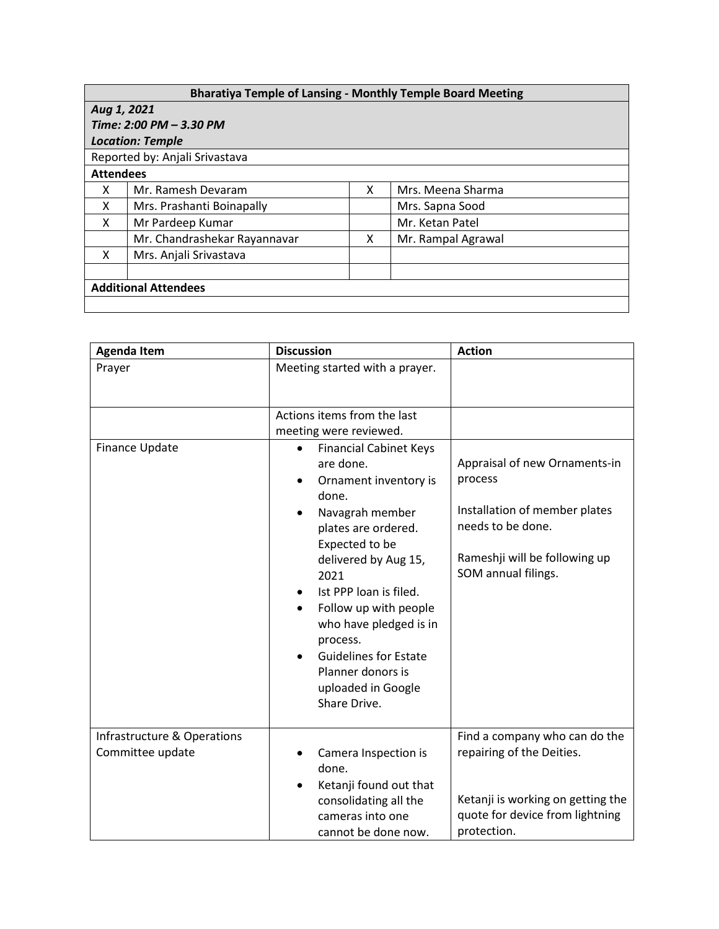## **Bharatiya Temple of Lansing - Monthly Temple Board Meeting**

| Aug 1, 2021                    |                              |   |                    |  |  |  |
|--------------------------------|------------------------------|---|--------------------|--|--|--|
| Time: 2:00 PM - 3.30 PM        |                              |   |                    |  |  |  |
| <b>Location: Temple</b>        |                              |   |                    |  |  |  |
| Reported by: Anjali Srivastava |                              |   |                    |  |  |  |
| <b>Attendees</b>               |                              |   |                    |  |  |  |
| x                              | Mr. Ramesh Devaram           | x | Mrs. Meena Sharma  |  |  |  |
| X                              | Mrs. Prashanti Boinapally    |   | Mrs. Sapna Sood    |  |  |  |
| X                              | Mr Pardeep Kumar             |   | Mr. Ketan Patel    |  |  |  |
|                                | Mr. Chandrashekar Rayannavar | x | Mr. Rampal Agrawal |  |  |  |
| X                              | Mrs. Anjali Srivastava       |   |                    |  |  |  |
|                                |                              |   |                    |  |  |  |
| <b>Additional Attendees</b>    |                              |   |                    |  |  |  |
|                                |                              |   |                    |  |  |  |

| <b>Agenda Item</b>                              | <b>Discussion</b>                                                                                                                                                                                                                                                                                                                                                                                                       |                                                                                                                                                        |
|-------------------------------------------------|-------------------------------------------------------------------------------------------------------------------------------------------------------------------------------------------------------------------------------------------------------------------------------------------------------------------------------------------------------------------------------------------------------------------------|--------------------------------------------------------------------------------------------------------------------------------------------------------|
| Prayer                                          | Meeting started with a prayer.                                                                                                                                                                                                                                                                                                                                                                                          |                                                                                                                                                        |
| <b>Finance Update</b>                           | Actions items from the last<br>meeting were reviewed.<br><b>Financial Cabinet Keys</b><br>$\bullet$<br>are done.<br>Ornament inventory is<br>done.<br>Navagrah member<br>٠<br>plates are ordered.<br>Expected to be<br>delivered by Aug 15,<br>2021<br>Ist PPP loan is filed.<br>Follow up with people<br>who have pledged is in<br>process.<br><b>Guidelines for Estate</b><br>Planner donors is<br>uploaded in Google | Appraisal of new Ornaments-in<br>process<br>Installation of member plates<br>needs to be done.<br>Rameshji will be following up<br>SOM annual filings. |
| Infrastructure & Operations<br>Committee update | Share Drive.<br>Camera Inspection is<br>done.<br>Ketanji found out that<br>$\bullet$<br>consolidating all the                                                                                                                                                                                                                                                                                                           | Find a company who can do the<br>repairing of the Deities.<br>Ketanji is working on getting the                                                        |
|                                                 | cameras into one<br>cannot be done now.                                                                                                                                                                                                                                                                                                                                                                                 | quote for device from lightning<br>protection.                                                                                                         |